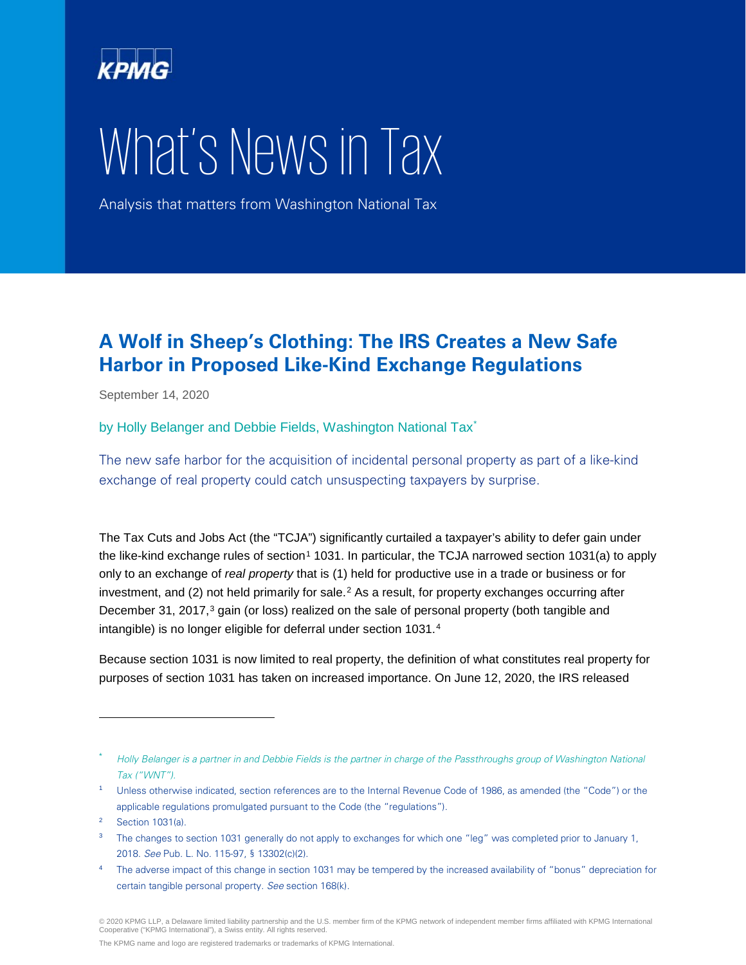

# What's News in Tax

Analysis that matters from Washington National Tax

## **A Wolf in Sheep's Clothing: The IRS Creates a New Safe Harbor in Proposed Like-Kind Exchange Regulations**

September 14, 2020

by Holly Belanger and Debbie Fields, Washington National Tax<sup>[\\*](#page-0-0)</sup>

The new safe harbor for the acquisition of incidental personal property as part of a like-kind exchange of real property could catch unsuspecting taxpayers by surprise.

The Tax Cuts and Jobs Act (the "TCJA") significantly curtailed a taxpayer's ability to defer gain under the like-kind exchange rules of section<sup>[1](#page-0-1)</sup> 1031. In particular, the TCJA narrowed section 1031(a) to apply only to an exchange of *real property* that is (1) held for productive use in a trade or business or for investment, and ([2](#page-0-2)) not held primarily for sale.<sup>2</sup> As a result, for property exchanges occurring after December [3](#page-0-3)1, 2017,<sup>3</sup> gain (or loss) realized on the sale of personal property (both tangible and intangible) is no longer eligible for deferral under section 1031.[4](#page-0-4)

Because section 1031 is now limited to real property, the definition of what constitutes real property for purposes of section 1031 has taken on increased importance. On June 12, 2020, the IRS released

-

<span id="page-0-0"></span>Holly Belanger is a partner in and Debbie Fields is the partner in charge of the Passthroughs group of Washington National Tax ("WNT").

<span id="page-0-1"></span><sup>&</sup>lt;sup>1</sup> Unless otherwise indicated, section references are to the Internal Revenue Code of 1986, as amended (the "Code") or the applicable regulations promulgated pursuant to the Code (the "regulations").

<span id="page-0-2"></span><sup>2</sup> Section 1031(a).

<span id="page-0-3"></span><sup>&</sup>lt;sup>3</sup> The changes to section 1031 generally do not apply to exchanges for which one "leg" was completed prior to January 1, 2018. See Pub. L. No. 115-97, § 13302(c)(2).

<span id="page-0-4"></span><sup>&</sup>lt;sup>4</sup> The adverse impact of this change in section 1031 may be tempered by the increased availability of "bonus" depreciation for certain tangible personal property. See section 168(k).

<sup>© 2020</sup> KPMG LLP, a Delaware limited liability partnership and the U.S. member firm of the KPMG network of independent member firms affiliated with KPMG International<br>Cooperative ("KPMG International"), a Swiss entity. All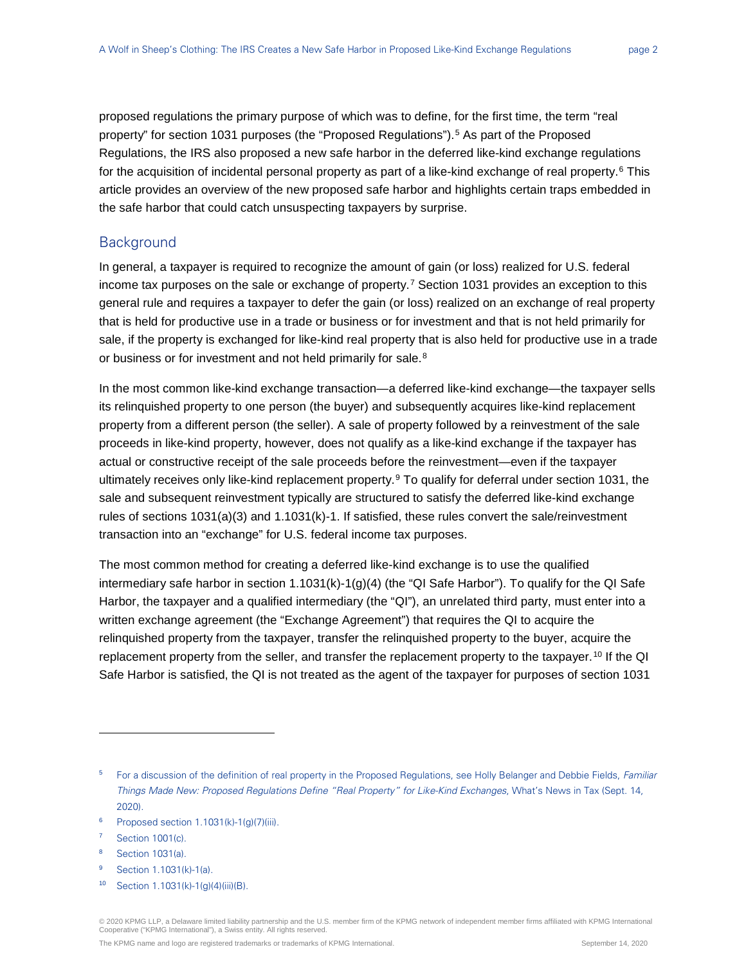proposed regulations the primary purpose of which was to define, for the first time, the term "real property" for section 1031 purposes (the "Proposed Regulations").<sup>[5](#page-1-0)</sup> As part of the Proposed Regulations, the IRS also proposed a new safe harbor in the deferred like-kind exchange regulations for the acquisition of incidental personal property as part of a like-kind exchange of real property.<sup>[6](#page-1-1)</sup> This article provides an overview of the new proposed safe harbor and highlights certain traps embedded in the safe harbor that could catch unsuspecting taxpayers by surprise.

#### **Background**

In general, a taxpayer is required to recognize the amount of gain (or loss) realized for U.S. federal income tax purposes on the sale or exchange of property.<sup>[7](#page-1-2)</sup> Section 1031 provides an exception to this general rule and requires a taxpayer to defer the gain (or loss) realized on an exchange of real property that is held for productive use in a trade or business or for investment and that is not held primarily for sale, if the property is exchanged for like-kind real property that is also held for productive use in a trade or business or for investment and not held primarily for sale.<sup>[8](#page-1-3)</sup>

In the most common like-kind exchange transaction—a deferred like-kind exchange—the taxpayer sells its relinquished property to one person (the buyer) and subsequently acquires like-kind replacement property from a different person (the seller). A sale of property followed by a reinvestment of the sale proceeds in like-kind property, however, does not qualify as a like-kind exchange if the taxpayer has actual or constructive receipt of the sale proceeds before the reinvestment—even if the taxpayer ultimately receives only like-kind replacement property.<sup>[9](#page-1-4)</sup> To qualify for deferral under section 1031, the sale and subsequent reinvestment typically are structured to satisfy the deferred like-kind exchange rules of sections 1031(a)(3) and 1.1031(k)-1. If satisfied, these rules convert the sale/reinvestment transaction into an "exchange" for U.S. federal income tax purposes.

The most common method for creating a deferred like-kind exchange is to use the qualified intermediary safe harbor in section 1.1031(k)-1(g)(4) (the "QI Safe Harbor"). To qualify for the QI Safe Harbor, the taxpayer and a qualified intermediary (the "QI"), an unrelated third party, must enter into a written exchange agreement (the "Exchange Agreement") that requires the QI to acquire the relinquished property from the taxpayer, transfer the relinquished property to the buyer, acquire the replacement property from the seller, and transfer the replacement property to the taxpayer.<sup>[10](#page-1-5)</sup> If the QI Safe Harbor is satisfied, the QI is not treated as the agent of the taxpayer for purposes of section 1031

- <span id="page-1-1"></span> $6$  Proposed section 1.1031(k)-1(g)(7)(iii).
- <span id="page-1-2"></span><sup>7</sup> Section 1001(c).

-

- <span id="page-1-3"></span><sup>8</sup> Section 1031(a).
- <span id="page-1-5"></span><span id="page-1-4"></span><sup>9</sup> Section 1.1031(k)-1(a).
- <sup>10</sup> Section 1.1031(k)-1(g)(4)(iii)(B).

© 2020 KPMG LLP, a Delaware limited liability partnership and the U.S. member firm of the KPMG network of independent member firms affiliated with KPMG International<br>Cooperative ("KPMG International"), a Swiss entity. All

<span id="page-1-0"></span><sup>&</sup>lt;sup>5</sup> For a discussion of the definition of real property in the Proposed Regulations, see Holly Belanger and Debbie Fields, Familiar Things Made New: Proposed Regulations Define "Real Property" for Like-Kind Exchanges, What's News in Tax (Sept. 14, 2020).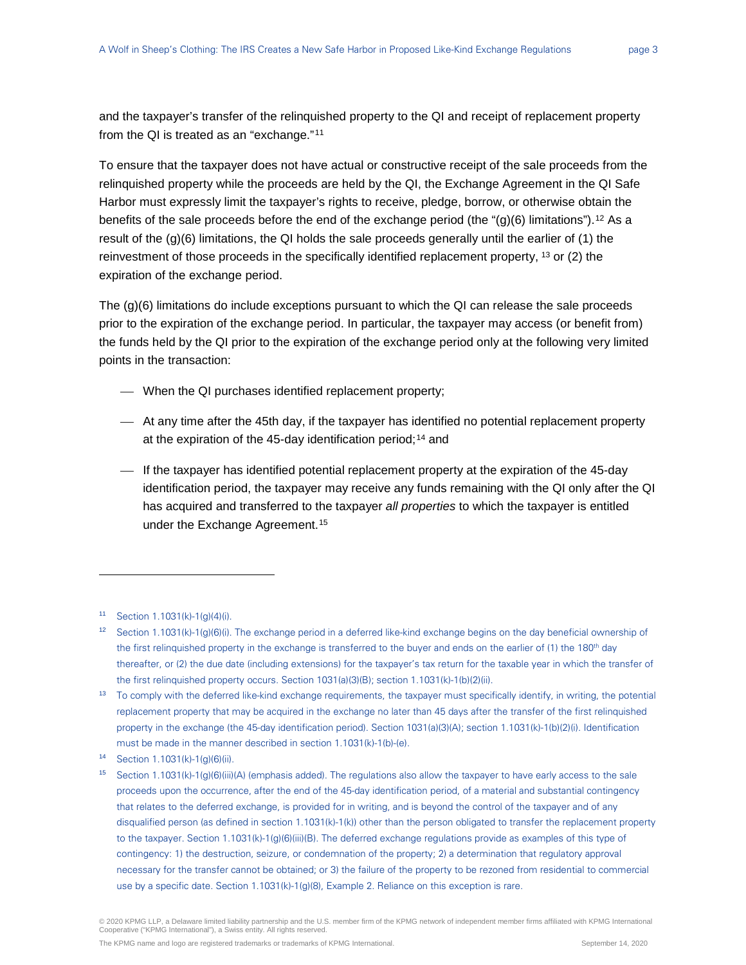and the taxpayer's transfer of the relinquished property to the QI and receipt of replacement property from the QI is treated as an "exchange."[11](#page-2-0)

To ensure that the taxpayer does not have actual or constructive receipt of the sale proceeds from the relinquished property while the proceeds are held by the QI, the Exchange Agreement in the QI Safe Harbor must expressly limit the taxpayer's rights to receive, pledge, borrow, or otherwise obtain the benefits of the sale proceeds before the end of the exchange period (the " $(g)(6)$  limitations").<sup>[12](#page-2-1)</sup> As a result of the (g)(6) limitations, the QI holds the sale proceeds generally until the earlier of (1) the reinvestment of those proceeds in the specifically identified replacement property,  $13$  or (2) the expiration of the exchange period.

The (g)(6) limitations do include exceptions pursuant to which the QI can release the sale proceeds prior to the expiration of the exchange period. In particular, the taxpayer may access (or benefit from) the funds held by the QI prior to the expiration of the exchange period only at the following very limited points in the transaction:

- When the QI purchases identified replacement property;
- At any time after the 45th day, if the taxpayer has identified no potential replacement property at the expiration of the 45-day identification period;<sup>[14](#page-2-3)</sup> and
- $\overline{\phantom{a}}$  If the taxpayer has identified potential replacement property at the expiration of the 45-day identification period, the taxpayer may receive any funds remaining with the QI only after the QI has acquired and transferred to the taxpayer *all properties* to which the taxpayer is entitled under the Exchange Agreement.<sup>[15](#page-2-4)</sup>

-

<span id="page-2-0"></span><sup>11</sup> Section 1.1031(k)-1(g)(4)(i).

<span id="page-2-1"></span><sup>&</sup>lt;sup>12</sup> Section 1.1031(k)-1(g)(6)(i). The exchange period in a deferred like-kind exchange begins on the day beneficial ownership of the first relinquished property in the exchange is transferred to the buyer and ends on the earlier of (1) the 180<sup>th</sup> day thereafter, or (2) the due date (including extensions) for the taxpayer's tax return for the taxable year in which the transfer of the first relinquished property occurs. Section 1031(a)(3)(B); section 1.1031(k)-1(b)(2)(ii).

<span id="page-2-2"></span><sup>&</sup>lt;sup>13</sup> To comply with the deferred like-kind exchange requirements, the taxpayer must specifically identify, in writing, the potential replacement property that may be acquired in the exchange no later than 45 days after the transfer of the first relinquished property in the exchange (the 45-day identification period). Section 1031(a)(3)(A); section 1.1031(k)-1(b)(2)(i). Identification must be made in the manner described in section 1.1031(k)-1(b)-(e).

<span id="page-2-3"></span><sup>14</sup> Section 1.1031(k)-1(g)(6)(ii).

<span id="page-2-4"></span><sup>&</sup>lt;sup>15</sup> Section 1.1031(k)-1(g)(6)(iii)(A) (emphasis added). The regulations also allow the taxpayer to have early access to the sale proceeds upon the occurrence, after the end of the 45-day identification period, of a material and substantial contingency that relates to the deferred exchange, is provided for in writing, and is beyond the control of the taxpayer and of any disqualified person (as defined in section 1.1031(k)-1(k)) other than the person obligated to transfer the replacement property to the taxpayer. Section 1.1031(k)-1(g)(6)(iii)(B). The deferred exchange regulations provide as examples of this type of contingency: 1) the destruction, seizure, or condemnation of the property; 2) a determination that regulatory approval necessary for the transfer cannot be obtained; or 3) the failure of the property to be rezoned from residential to commercial use by a specific date. Section 1.1031(k)-1(g)(8), Example 2. Reliance on this exception is rare.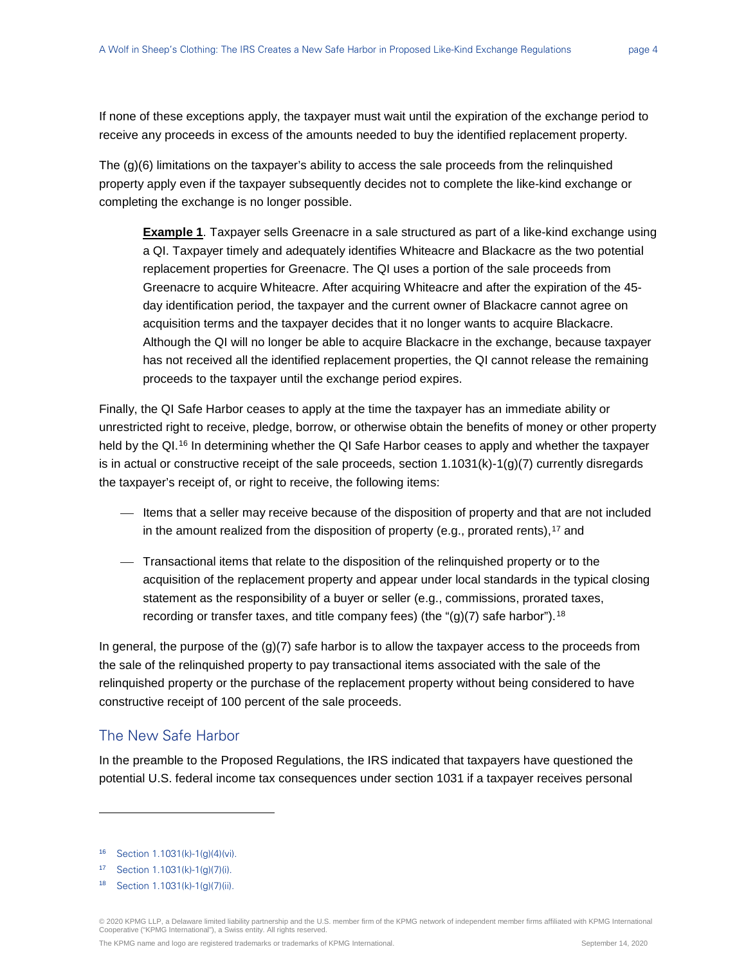If none of these exceptions apply, the taxpayer must wait until the expiration of the exchange period to receive any proceeds in excess of the amounts needed to buy the identified replacement property.

The (g)(6) limitations on the taxpayer's ability to access the sale proceeds from the relinquished property apply even if the taxpayer subsequently decides not to complete the like-kind exchange or completing the exchange is no longer possible.

**Example 1**. Taxpayer sells Greenacre in a sale structured as part of a like-kind exchange using a QI. Taxpayer timely and adequately identifies Whiteacre and Blackacre as the two potential replacement properties for Greenacre. The QI uses a portion of the sale proceeds from Greenacre to acquire Whiteacre. After acquiring Whiteacre and after the expiration of the 45 day identification period, the taxpayer and the current owner of Blackacre cannot agree on acquisition terms and the taxpayer decides that it no longer wants to acquire Blackacre. Although the QI will no longer be able to acquire Blackacre in the exchange, because taxpayer has not received all the identified replacement properties, the QI cannot release the remaining proceeds to the taxpayer until the exchange period expires.

Finally, the QI Safe Harbor ceases to apply at the time the taxpayer has an immediate ability or unrestricted right to receive, pledge, borrow, or otherwise obtain the benefits of money or other property held by the QI.<sup>[16](#page-3-0)</sup> In determining whether the QI Safe Harbor ceases to apply and whether the taxpayer is in actual or constructive receipt of the sale proceeds, section  $1.1031(k)-1(q)(7)$  currently disregards the taxpayer's receipt of, or right to receive, the following items:

- Items that a seller may receive because of the disposition of property and that are not included in the amount realized from the disposition of property (e.g., prorated rents),<sup>[17](#page-3-1)</sup> and
- Transactional items that relate to the disposition of the relinquished property or to the acquisition of the replacement property and appear under local standards in the typical closing statement as the responsibility of a buyer or seller (e.g., commissions, prorated taxes, recording or transfer taxes, and title company fees) (the " $(g)(7)$  safe harbor").<sup>[18](#page-3-2)</sup>

In general, the purpose of the  $(q)(7)$  safe harbor is to allow the taxpayer access to the proceeds from the sale of the relinquished property to pay transactional items associated with the sale of the relinquished property or the purchase of the replacement property without being considered to have constructive receipt of 100 percent of the sale proceeds.

#### The New Safe Harbor

In the preamble to the Proposed Regulations, the IRS indicated that taxpayers have questioned the potential U.S. federal income tax consequences under section 1031 if a taxpayer receives personal

-

© 2020 KPMG LLP, a Delaware limited liability partnership and the U.S. member firm of the KPMG network of independent member firms affiliated with KPMG International<br>Cooperative ("KPMG International"), a Swiss entity. All

<span id="page-3-0"></span><sup>16</sup> Section 1.1031(k)-1(g)(4)(vi).

<span id="page-3-2"></span><span id="page-3-1"></span><sup>17</sup> Section 1.1031(k)-1(g)(7)(i).

<sup>18</sup> Section 1.1031(k)-1(g)(7)(ii).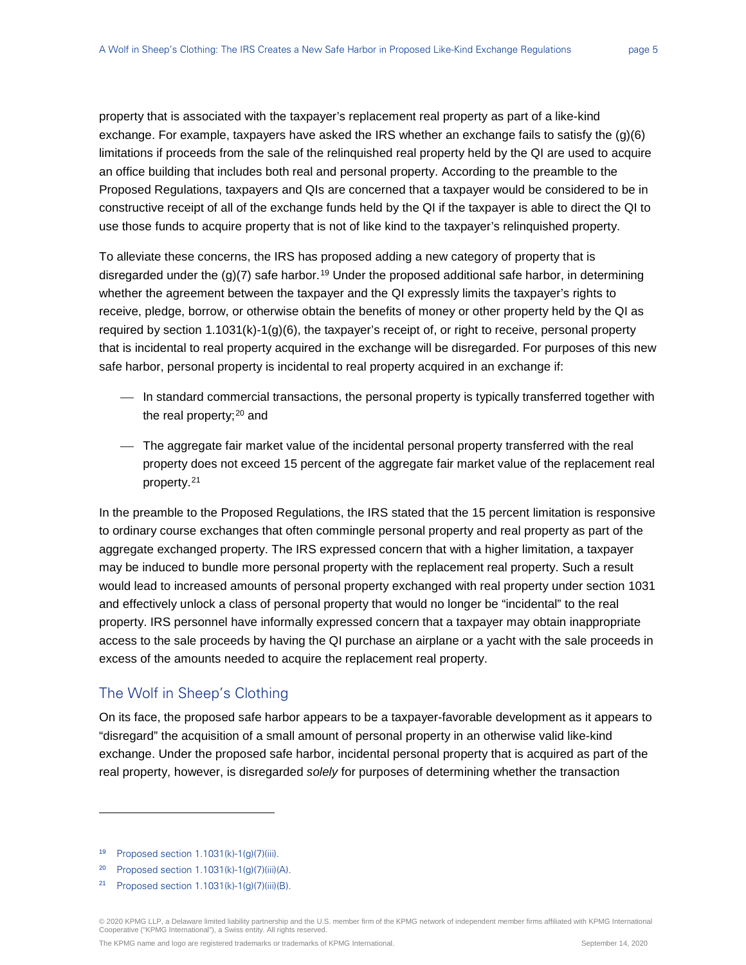property that is associated with the taxpayer's replacement real property as part of a like-kind exchange. For example, taxpayers have asked the IRS whether an exchange fails to satisfy the (g)(6) limitations if proceeds from the sale of the relinquished real property held by the QI are used to acquire an office building that includes both real and personal property. According to the preamble to the Proposed Regulations, taxpayers and QIs are concerned that a taxpayer would be considered to be in constructive receipt of all of the exchange funds held by the QI if the taxpayer is able to direct the QI to use those funds to acquire property that is not of like kind to the taxpayer's relinquished property.

To alleviate these concerns, the IRS has proposed adding a new category of property that is disregarded under the  $(g)(7)$  safe harbor.<sup>[19](#page-4-0)</sup> Under the proposed additional safe harbor, in determining whether the agreement between the taxpayer and the QI expressly limits the taxpayer's rights to receive, pledge, borrow, or otherwise obtain the benefits of money or other property held by the QI as required by section 1.1031(k)-1(g)(6), the taxpayer's receipt of, or right to receive, personal property that is incidental to real property acquired in the exchange will be disregarded. For purposes of this new safe harbor, personal property is incidental to real property acquired in an exchange if:

- In standard commercial transactions, the personal property is typically transferred together with the real property; $20$  and
- The aggregate fair market value of the incidental personal property transferred with the real property does not exceed 15 percent of the aggregate fair market value of the replacement real property.[21](#page-4-2)

In the preamble to the Proposed Regulations, the IRS stated that the 15 percent limitation is responsive to ordinary course exchanges that often commingle personal property and real property as part of the aggregate exchanged property. The IRS expressed concern that with a higher limitation, a taxpayer may be induced to bundle more personal property with the replacement real property. Such a result would lead to increased amounts of personal property exchanged with real property under section 1031 and effectively unlock a class of personal property that would no longer be "incidental" to the real property. IRS personnel have informally expressed concern that a taxpayer may obtain inappropriate access to the sale proceeds by having the QI purchase an airplane or a yacht with the sale proceeds in excess of the amounts needed to acquire the replacement real property.

#### The Wolf in Sheep's Clothing

On its face, the proposed safe harbor appears to be a taxpayer-favorable development as it appears to "disregard" the acquisition of a small amount of personal property in an otherwise valid like-kind exchange. Under the proposed safe harbor, incidental personal property that is acquired as part of the real property, however, is disregarded *solely* for purposes of determining whether the transaction

-

<span id="page-4-1"></span><sup>20</sup> Proposed section 1.1031(k)-1(g)(7)(iii)(A).

© 2020 KPMG LLP, a Delaware limited liability partnership and the U.S. member firm of the KPMG network of independent member firms affiliated with KPMG International Cooperative ("KPMG International"), a Swiss entity. All rights reserved.

<span id="page-4-0"></span><sup>&</sup>lt;sup>19</sup> Proposed section  $1.1031(k)-1(g)(7)(iii)$ .

<span id="page-4-2"></span><sup>21</sup> Proposed section 1.1031(k)-1(g)(7)(iii)(B).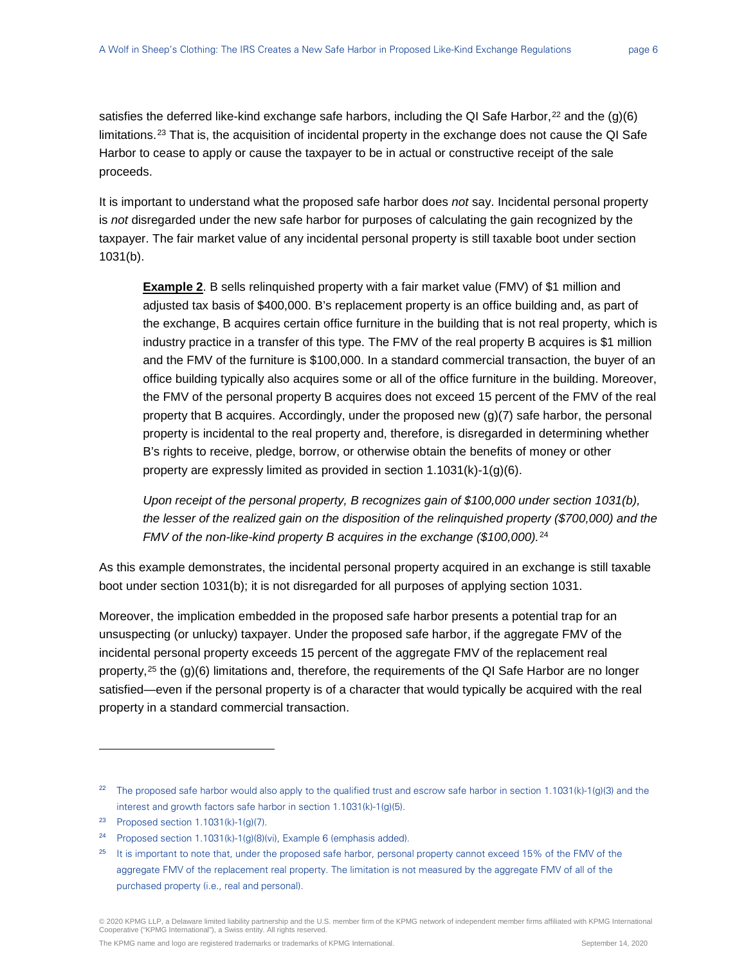satisfies the deferred like-kind exchange safe harbors, including the QI Safe Harbor,  $2^2$  and the (g)(6) limitations.<sup>[23](#page-5-1)</sup> That is, the acquisition of incidental property in the exchange does not cause the QI Safe Harbor to cease to apply or cause the taxpayer to be in actual or constructive receipt of the sale proceeds.

It is important to understand what the proposed safe harbor does *not* say. Incidental personal property is *not* disregarded under the new safe harbor for purposes of calculating the gain recognized by the taxpayer. The fair market value of any incidental personal property is still taxable boot under section 1031(b).

**Example 2**. B sells relinquished property with a fair market value (FMV) of \$1 million and adjusted tax basis of \$400,000. B's replacement property is an office building and, as part of the exchange, B acquires certain office furniture in the building that is not real property, which is industry practice in a transfer of this type. The FMV of the real property B acquires is \$1 million and the FMV of the furniture is \$100,000. In a standard commercial transaction, the buyer of an office building typically also acquires some or all of the office furniture in the building. Moreover, the FMV of the personal property B acquires does not exceed 15 percent of the FMV of the real property that B acquires. Accordingly, under the proposed new (g)(7) safe harbor, the personal property is incidental to the real property and, therefore, is disregarded in determining whether B's rights to receive, pledge, borrow, or otherwise obtain the benefits of money or other property are expressly limited as provided in section 1.1031(k)-1(g)(6).

*Upon receipt of the personal property, B recognizes gain of \$100,000 under section 1031(b), the lesser of the realized gain on the disposition of the relinquished property (\$700,000) and the FMV of the non-like-kind property B acquires in the exchange (\$100,000).*[24](#page-5-2)

As this example demonstrates, the incidental personal property acquired in an exchange is still taxable boot under section 1031(b); it is not disregarded for all purposes of applying section 1031.

Moreover, the implication embedded in the proposed safe harbor presents a potential trap for an unsuspecting (or unlucky) taxpayer. Under the proposed safe harbor, if the aggregate FMV of the incidental personal property exceeds 15 percent of the aggregate FMV of the replacement real property,<sup>[25](#page-5-3)</sup> the (g)(6) limitations and, therefore, the requirements of the QI Safe Harbor are no longer satisfied—even if the personal property is of a character that would typically be acquired with the real property in a standard commercial transaction.

-

<span id="page-5-0"></span><sup>&</sup>lt;sup>22</sup> The proposed safe harbor would also apply to the qualified trust and escrow safe harbor in section 1.1031(k)-1(g)(3) and the interest and growth factors safe harbor in section 1.1031(k)-1(g)(5).

<span id="page-5-1"></span><sup>23</sup> Proposed section 1.1031(k)-1(g)(7).

<span id="page-5-2"></span><sup>24</sup> Proposed section 1.1031(k)-1(g)(8)(vi), Example 6 (emphasis added).

<span id="page-5-3"></span><sup>&</sup>lt;sup>25</sup> It is important to note that, under the proposed safe harbor, personal property cannot exceed 15% of the FMV of the aggregate FMV of the replacement real property. The limitation is not measured by the aggregate FMV of all of the purchased property (i.e., real and personal).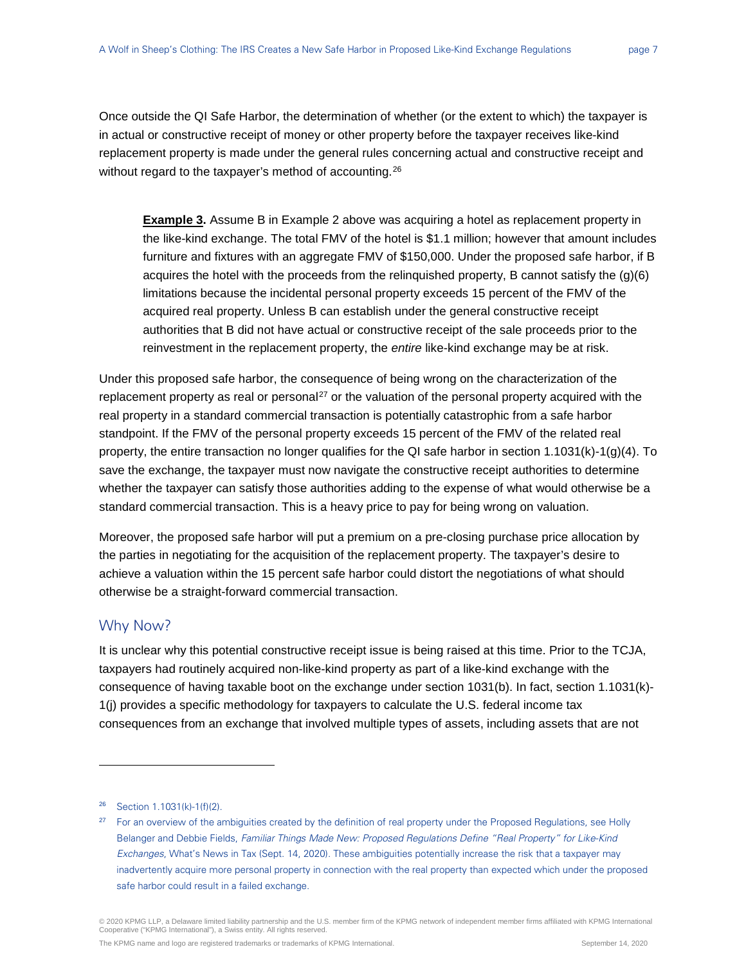Once outside the QI Safe Harbor, the determination of whether (or the extent to which) the taxpayer is in actual or constructive receipt of money or other property before the taxpayer receives like-kind replacement property is made under the general rules concerning actual and constructive receipt and without regard to the taxpayer's method of accounting.<sup>[26](#page-6-0)</sup>

**Example 3.** Assume B in Example 2 above was acquiring a hotel as replacement property in the like-kind exchange. The total FMV of the hotel is \$1.1 million; however that amount includes furniture and fixtures with an aggregate FMV of \$150,000. Under the proposed safe harbor, if B acquires the hotel with the proceeds from the relinquished property, B cannot satisfy the  $(g)(6)$ limitations because the incidental personal property exceeds 15 percent of the FMV of the acquired real property. Unless B can establish under the general constructive receipt authorities that B did not have actual or constructive receipt of the sale proceeds prior to the reinvestment in the replacement property, the *entire* like-kind exchange may be at risk.

Under this proposed safe harbor, the consequence of being wrong on the characterization of the replacement property as real or personal<sup>[27](#page-6-1)</sup> or the valuation of the personal property acquired with the real property in a standard commercial transaction is potentially catastrophic from a safe harbor standpoint. If the FMV of the personal property exceeds 15 percent of the FMV of the related real property, the entire transaction no longer qualifies for the QI safe harbor in section 1.1031(k)-1(g)(4). To save the exchange, the taxpayer must now navigate the constructive receipt authorities to determine whether the taxpayer can satisfy those authorities adding to the expense of what would otherwise be a standard commercial transaction. This is a heavy price to pay for being wrong on valuation.

Moreover, the proposed safe harbor will put a premium on a pre-closing purchase price allocation by the parties in negotiating for the acquisition of the replacement property. The taxpayer's desire to achieve a valuation within the 15 percent safe harbor could distort the negotiations of what should otherwise be a straight-forward commercial transaction.

### Why Now?

-

It is unclear why this potential constructive receipt issue is being raised at this time. Prior to the TCJA, taxpayers had routinely acquired non-like-kind property as part of a like-kind exchange with the consequence of having taxable boot on the exchange under section 1031(b). In fact, section 1.1031(k)- 1(j) provides a specific methodology for taxpayers to calculate the U.S. federal income tax consequences from an exchange that involved multiple types of assets, including assets that are not

<span id="page-6-0"></span><sup>26</sup> Section 1.1031(k)-1(f)(2).

<span id="page-6-1"></span><sup>&</sup>lt;sup>27</sup> For an overview of the ambiguities created by the definition of real property under the Proposed Regulations, see Holly Belanger and Debbie Fields, Familiar Things Made New: Proposed Regulations Define "Real Property" for Like-Kind Exchanges, What's News in Tax (Sept. 14, 2020). These ambiguities potentially increase the risk that a taxpayer may inadvertently acquire more personal property in connection with the real property than expected which under the proposed safe harbor could result in a failed exchange.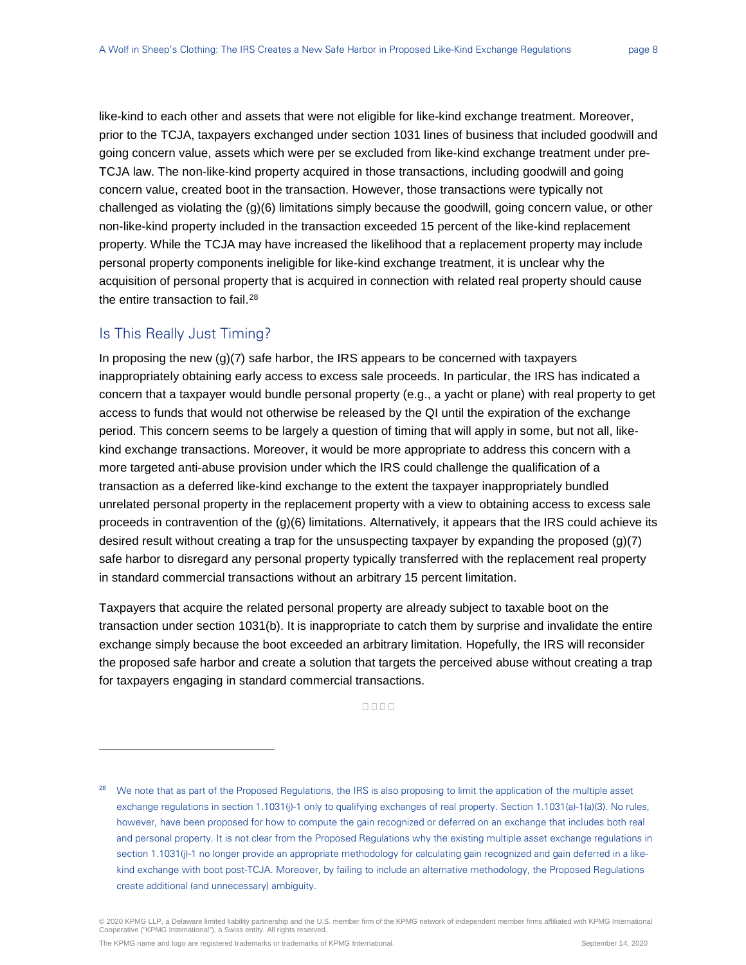like-kind to each other and assets that were not eligible for like-kind exchange treatment. Moreover, prior to the TCJA, taxpayers exchanged under section 1031 lines of business that included goodwill and going concern value, assets which were per se excluded from like-kind exchange treatment under pre-TCJA law. The non-like-kind property acquired in those transactions, including goodwill and going concern value, created boot in the transaction. However, those transactions were typically not challenged as violating the (g)(6) limitations simply because the goodwill, going concern value, or other non-like-kind property included in the transaction exceeded 15 percent of the like-kind replacement property. While the TCJA may have increased the likelihood that a replacement property may include personal property components ineligible for like-kind exchange treatment, it is unclear why the acquisition of personal property that is acquired in connection with related real property should cause the entire transaction to fail.<sup>[28](#page-7-0)</sup>

#### Is This Really Just Timing?

-

In proposing the new  $(q)(7)$  safe harbor, the IRS appears to be concerned with taxpayers inappropriately obtaining early access to excess sale proceeds. In particular, the IRS has indicated a concern that a taxpayer would bundle personal property (e.g., a yacht or plane) with real property to get access to funds that would not otherwise be released by the QI until the expiration of the exchange period. This concern seems to be largely a question of timing that will apply in some, but not all, likekind exchange transactions. Moreover, it would be more appropriate to address this concern with a more targeted anti-abuse provision under which the IRS could challenge the qualification of a transaction as a deferred like-kind exchange to the extent the taxpayer inappropriately bundled unrelated personal property in the replacement property with a view to obtaining access to excess sale proceeds in contravention of the (g)(6) limitations. Alternatively, it appears that the IRS could achieve its desired result without creating a trap for the unsuspecting taxpayer by expanding the proposed  $(q)(7)$ safe harbor to disregard any personal property typically transferred with the replacement real property in standard commercial transactions without an arbitrary 15 percent limitation.

Taxpayers that acquire the related personal property are already subject to taxable boot on the transaction under section 1031(b). It is inappropriate to catch them by surprise and invalidate the entire exchange simply because the boot exceeded an arbitrary limitation. Hopefully, the IRS will reconsider the proposed safe harbor and create a solution that targets the perceived abuse without creating a trap for taxpayers engaging in standard commercial transactions.

 $0000$ 

<span id="page-7-0"></span><sup>&</sup>lt;sup>28</sup> We note that as part of the Proposed Regulations, the IRS is also proposing to limit the application of the multiple asset exchange regulations in section 1.1031(j)-1 only to qualifying exchanges of real property. Section 1.1031(a)-1(a)(3). No rules, however, have been proposed for how to compute the gain recognized or deferred on an exchange that includes both real and personal property. It is not clear from the Proposed Regulations why the existing multiple asset exchange regulations in section 1.1031(j)-1 no longer provide an appropriate methodology for calculating gain recognized and gain deferred in a likekind exchange with boot post-TCJA. Moreover, by failing to include an alternative methodology, the Proposed Regulations create additional (and unnecessary) ambiguity.